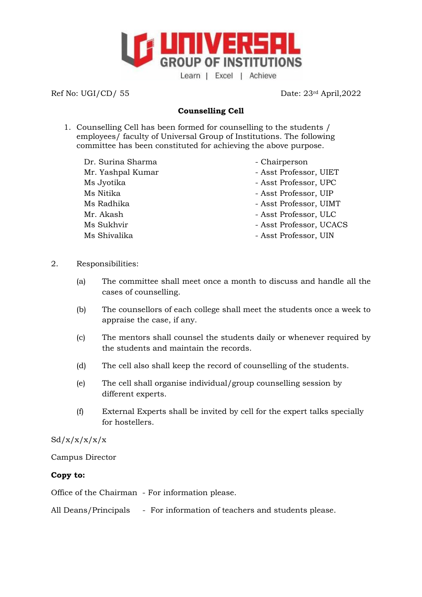

Ref No: UGI/CD/ 55 Date: 23<sup>rd</sup> April, 2022

# **Counselling Cell**

- 1. Counselling Cell has been formed for counselling to the students / employees/ faculty of Universal Group of Institutions. The following committee has been constituted for achieving the above purpose.
	- Dr. Surina Sharma Chairperson Ms Jyotika - Asst Professor, UPC Ms Nitika - Asst Professor, UIP Mr. Akash - Asst Professor, ULC
		-
	- Mr. Yashpal Kumar Asst Professor, UIET
		-
		-
	- Ms Radhika Asst Professor, UIMT
		-
	- Ms Sukhvir **Mathematic Superson** Asst Professor, UCACS
	- Ms Shivalika Asst Professor, UIN
- 2. Responsibilities:
	- (a) The committee shall meet once a month to discuss and handle all the cases of counselling.
	- (b) The counsellors of each college shall meet the students once a week to appraise the case, if any.
	- (c) The mentors shall counsel the students daily or whenever required by the students and maintain the records.
	- (d) The cell also shall keep the record of counselling of the students.
	- (e) The cell shall organise individual/group counselling session by different experts.
	- (f) External Experts shall be invited by cell for the expert talks specially for hostellers.

 $Sd/x/x/x/x/x$ 

Campus Director

## **Copy to:**

Office of the Chairman - For information please.

All Deans/Principals - For information of teachers and students please.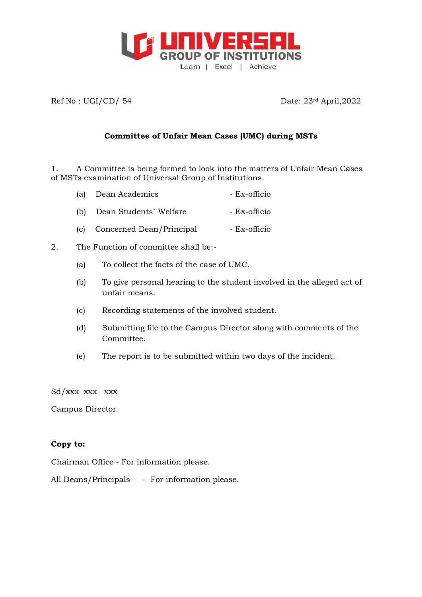

Ref No : UGI/CD/ 54 Date: 23<sup>rd</sup> April, 2022

## **Committee of Unfair Mean Cases (UMC) during MSTs**

1. A Committee is being formed to look into the matters of Unfair Mean Cases of MSTs examination of Universal Group of Institutions.

- (a) Dean Academics Ex-officio
- (b) Dean Students` Welfare Ex-officio
- (c) Concerned Dean/Principal Ex-officio
- 2. The Function of committee shall be:-
	- (a) To collect the facts of the case of UMC.
	- (b) To give personal hearing to the student involved in the alleged act of unfair means.
	- (c) Recording statements of the involved student.
	- (d) Submitting file to the Campus Director along with comments of the Committee.
	- (e) The report is to be submitted within two days of the incident.

Sd/xxx xxx xxx

Campus Director

#### **Copy to:**

Chairman Office - For information please.

All Deans/Principals - For information please.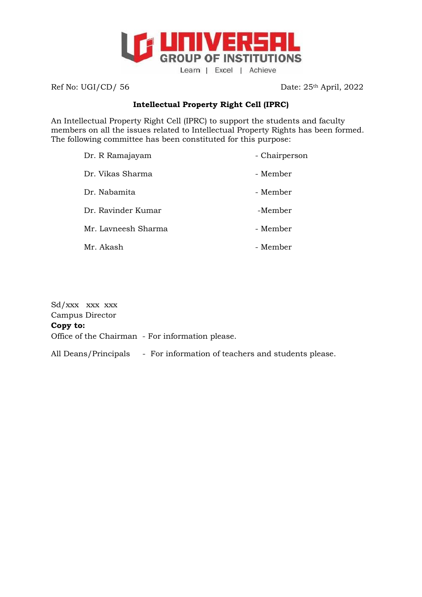

Ref No: UGI/CD/ 56 Date: 25<sup>th</sup> April, 2022

## **Intellectual Property Right Cell (IPRC)**

An Intellectual Property Right Cell (IPRC) to support the students and faculty members on all the issues related to Intellectual Property Rights has been formed. The following committee has been constituted for this purpose:

| Dr. R Ramajayam     | - Chairperson |
|---------------------|---------------|
| Dr. Vikas Sharma    | - Member      |
| Dr. Nabamita        | - Member      |
| Dr. Ravinder Kumar  | -Member       |
| Mr. Lavneesh Sharma | - Member      |
| Mr. Akash           | - Member      |
|                     |               |

Sd/xxx xxx xxx Campus Director **Copy to:** Office of the Chairman - For information please. All Deans/Principals - For information of teachers and students please.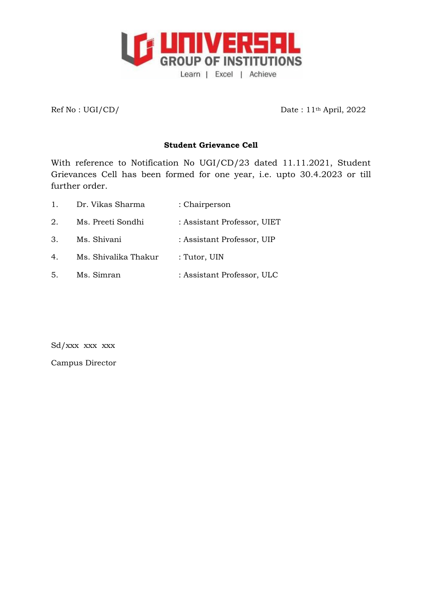

Ref No : UGI/CD/ Date : 11<sup>th</sup> April, 2022

## **Student Grievance Cell**

With reference to Notification No UGI/CD/23 dated 11.11.2021, Student Grievances Cell has been formed for one year, i.e. upto 30.4.2023 or till further order.

| $1_{-}$ | Dr. Vikas Sharma     | : Chairperson               |
|---------|----------------------|-----------------------------|
| 2.      | Ms. Preeti Sondhi    | : Assistant Professor, UIET |
| 3.      | Ms. Shivani          | : Assistant Professor, UIP  |
| 4.      | Ms. Shivalika Thakur | : Tutor, UIN                |
| 5.      | Ms. Simran           | : Assistant Professor, ULC  |

Sd/xxx xxx xxx

Campus Director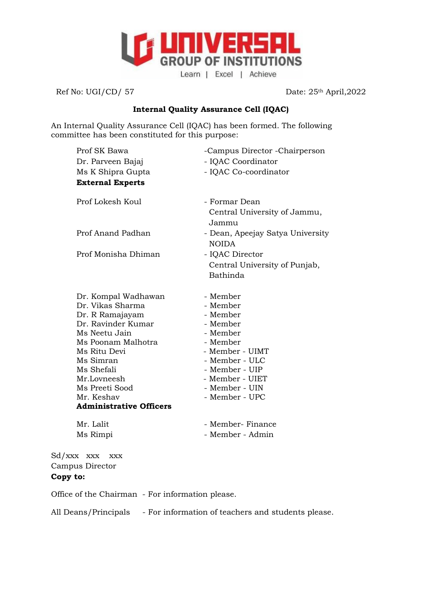

Ref No: UGI/CD/ 57 Date: 25<sup>th</sup> April, 2022

### **Internal Quality Assurance Cell (IQAC)**

An Internal Quality Assurance Cell (IQAC) has been formed. The following committee has been constituted for this purpose:

| Prof SK Bawa                                 | -Campus Director - Chairperson                         |
|----------------------------------------------|--------------------------------------------------------|
| Dr. Parveen Bajaj                            | - IQAC Coordinator                                     |
| Ms K Shipra Gupta                            | - IQAC Co-coordinator                                  |
| <b>External Experts</b>                      |                                                        |
| Prof Lokesh Koul                             | - Formar Dean<br>Central University of Jammu,<br>Jammu |
| Prof Anand Padhan                            | - Dean, Apeejay Satya University<br><b>NOIDA</b>       |
| Prof Monisha Dhiman                          | - IQAC Director                                        |
|                                              | Central University of Punjab,                          |
|                                              | Bathinda                                               |
| Dr. Kompal Wadhawan                          | - Member                                               |
| Dr. Vikas Sharma                             | - Member                                               |
| Dr. R Ramajayam                              | - Member                                               |
| Dr. Ravinder Kumar                           | - Member                                               |
| Ms Neetu Jain                                | - Member                                               |
| Ms Poonam Malhotra                           | - Member                                               |
| Ms Ritu Devi                                 | - Member - UIMT                                        |
| Ms Simran                                    | - Member - ULC                                         |
| Ms Shefali                                   | - Member - UIP                                         |
| Mr.Lovneesh                                  | - Member - UIET                                        |
| Ms Preeti Sood                               | - Member - UIN<br>- Member - UPC                       |
| Mr. Keshav<br><b>Administrative Officers</b> |                                                        |
|                                              |                                                        |
| Mr. Lalit                                    | - Member- Finance                                      |
| Ms Rimpi                                     | - Member - Admin                                       |

Sd/xxx xxx xxx Campus Director **Copy to:**

Office of the Chairman - For information please.

All Deans/Principals - For information of teachers and students please.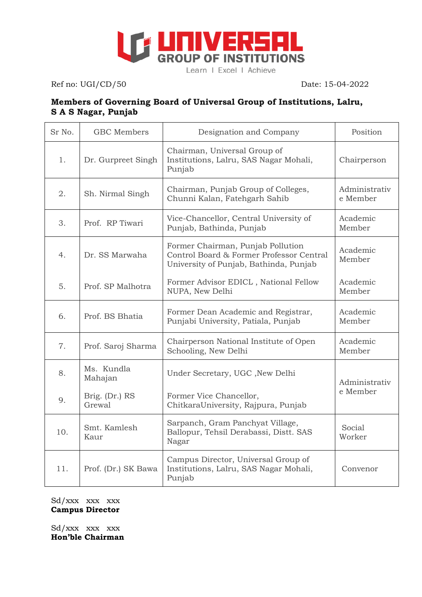

Ref no: UGI/CD/50Date: 15-04-2022

# **Members of Governing Board of Universal Group of Institutions, Lalru, S A S Nagar, Punjab**

| Sr No.         | <b>GBC</b> Members       | Designation and Company                                                                                                 | Position                  |  |
|----------------|--------------------------|-------------------------------------------------------------------------------------------------------------------------|---------------------------|--|
| $\mathbf{1}$ . | Dr. Gurpreet Singh       | Chairman, Universal Group of<br>Institutions, Lalru, SAS Nagar Mohali,<br>Punjab                                        | Chairperson               |  |
| 2.             | Sh. Nirmal Singh         | Chairman, Punjab Group of Colleges,<br>Chunni Kalan, Fatehgarh Sahib                                                    | Administrativ<br>e Member |  |
| 3.             | Prof. RP Tiwari          | Vice-Chancellor, Central University of<br>Punjab, Bathinda, Punjab                                                      | Academic<br>Member        |  |
| 4.             | Dr. SS Marwaha           | Former Chairman, Punjab Pollution<br>Control Board & Former Professor Central<br>University of Punjab, Bathinda, Punjab | Academic<br>Member        |  |
| 5.             | Prof. SP Malhotra        | Former Advisor EDICL, National Fellow<br>NUPA, New Delhi                                                                | Academic<br>Member        |  |
| 6.             | Prof. BS Bhatia          | Former Dean Academic and Registrar,<br>Punjabi University, Patiala, Punjab                                              | Academic<br>Member        |  |
| 7.             | Prof. Saroj Sharma       | Chairperson National Institute of Open<br>Schooling, New Delhi                                                          | Academic<br>Member        |  |
| 8.             | Ms. Kundla<br>Mahajan    | Under Secretary, UGC , New Delhi                                                                                        | Administrativ             |  |
| 9.             | Brig. (Dr.) RS<br>Grewal | Former Vice Chancellor,<br>ChitkaraUniversity, Rajpura, Punjab                                                          | e Member                  |  |
| 10.            | Smt. Kamlesh<br>Kaur     | Sarpanch, Gram Panchyat Village,<br>Ballopur, Tehsil Derabassi, Distt. SAS<br>Nagar                                     | Social<br>Worker          |  |
| 11.            | Prof. (Dr.) SK Bawa      | Campus Director, Universal Group of<br>Institutions, Lalru, SAS Nagar Mohali,<br>Punjab                                 | Convenor                  |  |

Sd/xxx xxx xxx **Campus Director**

Sd/xxx xxx xxx **Hon'ble Chairman**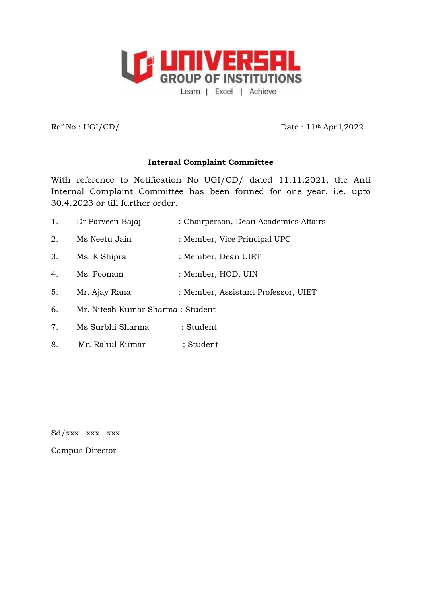

 $Ref No : UGI/CD/$  Date :  $11<sup>th</sup> April,2022$ 

#### **Internal Complaint Committee**

With reference to Notification No UGI/CD/ dated 11.11.2021, the Anti Internal Complaint Committee has been formed for one year, i.e. upto 30.4.2023 or till further order.

- 1. Dr Parveen Bajaj : Chairperson, Dean Academics Affairs
- 2. Ms Neetu Jain : Member, Vice Principal UPC
- 3. Ms. K Shipra : Member, Dean UIET
- 4. Ms. Poonam : Member, HOD, UIN
- 5. Mr. Ajay Rana : Member, Assistant Professor, UIET
- 6. Mr. Nitesh Kumar Sharma : Student
- 7. Ms Surbhi Sharma : Student
- 8. Mr. Rahul Kumar ; Student

Sd/xxx xxx xxx

Campus Director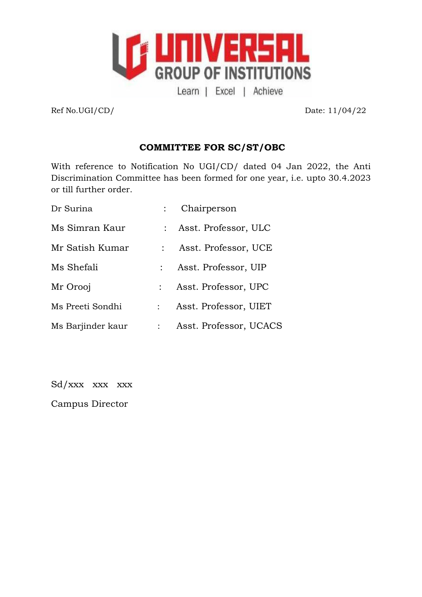

Ref No.UGI/CD/ Date: 11/04/22

# **COMMITTEE FOR SC/ST/OBC**

With reference to Notification No UGI/CD/ dated 04 Jan 2022, the Anti Discrimination Committee has been formed for one year, i.e. upto 30.4.2023 or till further order.

| Dr Surina         |               | Chairperson            |
|-------------------|---------------|------------------------|
| Ms Simran Kaur    |               | : Asst. Professor, ULC |
| Mr Satish Kumar   |               | Asst. Professor, UCE   |
| Ms Shefali        |               | Asst. Professor, UIP   |
| Mr Orooj          |               | Asst. Professor, UPC   |
| Ms Preeti Sondhi  |               | Asst. Professor, UIET  |
| Ms Barjinder kaur | $\mathcal{L}$ | Asst. Professor, UCACS |

Sd/xxx xxx xxx

Campus Director